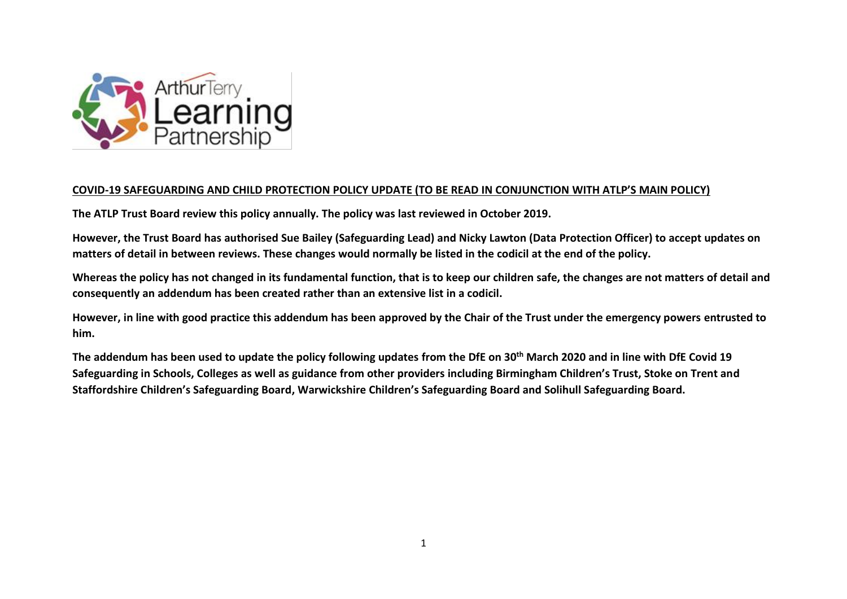

### **COVID-19 SAFEGUARDING AND CHILD PROTECTION POLICY UPDATE (TO BE READ IN CONJUNCTION WITH ATLP'S MAIN POLICY)**

**The ATLP Trust Board review this policy annually. The policy was last reviewed in October 2019.**

**However, the Trust Board has authorised Sue Bailey (Safeguarding Lead) and Nicky Lawton (Data Protection Officer) to accept updates on matters of detail in between reviews. These changes would normally be listed in the codicil at the end of the policy.**

**Whereas the policy has not changed in its fundamental function, that is to keep our children safe, the changes are not matters of detail and consequently an addendum has been created rather than an extensive list in a codicil.**

**However, in line with good practice this addendum has been approved by the Chair of the Trust under the emergency powers entrusted to him.**

**The addendum has been used to update the policy following updates from the DfE on 30th March 2020 and in line with DfE Covid 19 Safeguarding in Schools, Colleges as well as guidance from other providers including Birmingham Children's Trust, Stoke on Trent and Staffordshire Children's Safeguarding Board, Warwickshire Children's Safeguarding Board and Solihull Safeguarding Board.**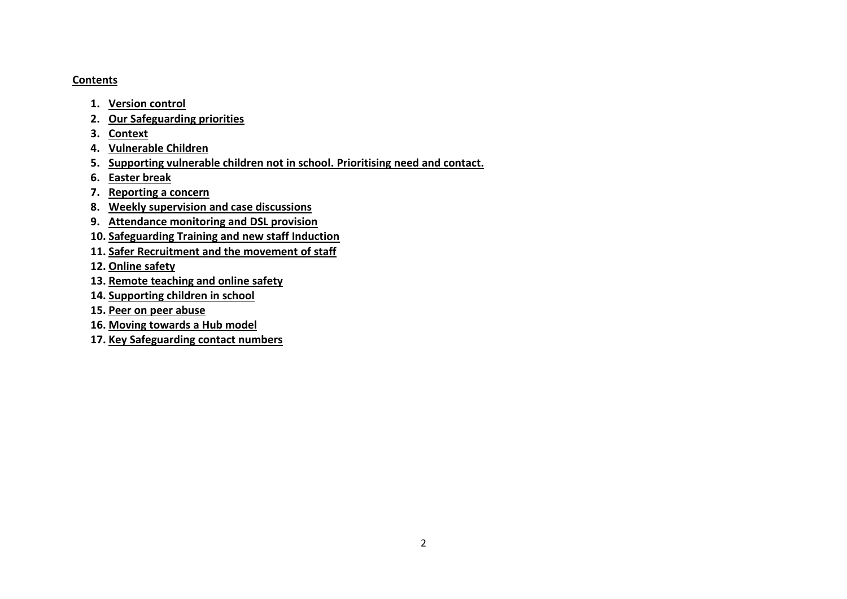#### **Contents**

- **1. Version control**
- **2. Our Safeguarding priorities**
- **3. Context**
- **4. Vulnerable Children**
- **5. Supporting vulnerable children not in school. Prioritising need and contact.**
- **6. Easter break**
- **7. Reporting a concern**
- **8. Weekly supervision and case discussions**
- **9. Attendance monitoring and DSL provision**
- **10. Safeguarding Training and new staff Induction**
- **11. Safer Recruitment and the movement of staff**
- **12. Online safety**
- **13. Remote teaching and online safety**
- **14. Supporting children in school**
- **15. Peer on peer abuse**
- **16. Moving towards a Hub model**
- **17. Key Safeguarding contact numbers**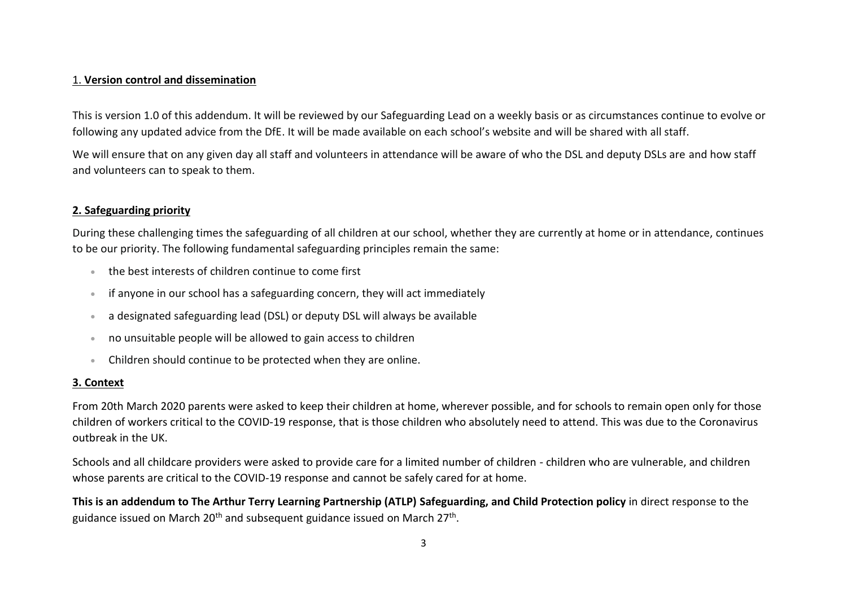### 1. **Version control and dissemination**

This is version 1.0 of this addendum. It will be reviewed by our Safeguarding Lead on a weekly basis or as circumstances continue to evolve or following any updated advice from the DfE. It will be made available on each school's website and will be shared with all staff.

We will ensure that on any given day all staff and volunteers in attendance will be aware of who the DSL and deputy DSLs are and how staff and volunteers can to speak to them.

## **2. Safeguarding priority**

During these challenging times the safeguarding of all children at our school, whether they are currently at home or in attendance, continues to be our priority. The following fundamental safeguarding principles remain the same:

- the best interests of children continue to come first
- if anyone in our school has a safeguarding concern, they will act immediately
- a designated safeguarding lead (DSL) or deputy DSL will always be available
- no unsuitable people will be allowed to gain access to children
- Children should continue to be protected when they are online.

### **3. Context**

From 20th March 2020 parents were asked to keep their children at home, wherever possible, and for schools to remain open only for those children of workers critical to the COVID-19 response, that is those children who absolutely need to attend. This was due to the Coronavirus outbreak in the UK.

Schools and all childcare providers were asked to provide care for a limited number of children - children who are vulnerable, and children whose parents are critical to the COVID-19 response and cannot be safely cared for at home.

**This is an addendum to The Arthur Terry Learning Partnership (ATLP) Safeguarding, and Child Protection policy** in direct response to the guidance issued on March 20<sup>th</sup> and subsequent guidance issued on March 27<sup>th</sup>.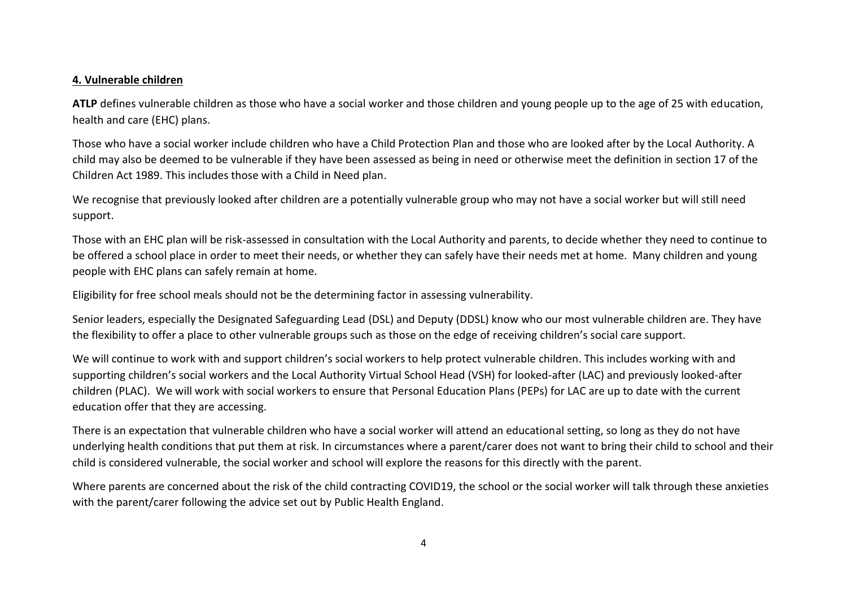#### **4. Vulnerable children**

**ATLP** defines vulnerable children as those who have a social worker and those children and young people up to the age of 25 with education, health and care (EHC) plans.

Those who have a social worker include children who have a Child Protection Plan and those who are looked after by the Local Authority. A child may also be deemed to be vulnerable if they have been assessed as being in need or otherwise meet the definition in section 17 of the Children Act 1989. This includes those with a Child in Need plan.

We recognise that previously looked after children are a potentially vulnerable group who may not have a social worker but will still need support.

Those with an EHC plan will be risk-assessed in consultation with the Local Authority and parents, to decide whether they need to continue to be offered a school place in order to meet their needs, or whether they can safely have their needs met at home. Many children and young people with EHC plans can safely remain at home.

Eligibility for free school meals should not be the determining factor in assessing vulnerability.

Senior leaders, especially the Designated Safeguarding Lead (DSL) and Deputy (DDSL) know who our most vulnerable children are. They have the flexibility to offer a place to other vulnerable groups such as those on the edge of receiving children's social care support.

We will continue to work with and support children's social workers to help protect vulnerable children. This includes working with and supporting children's social workers and the Local Authority Virtual School Head (VSH) for looked-after (LAC) and previously looked-after children (PLAC). We will work with social workers to ensure that Personal Education Plans (PEPs) for LAC are up to date with the current education offer that they are accessing.

There is an expectation that vulnerable children who have a social worker will attend an educational setting, so long as they do not have underlying health conditions that put them at risk. In circumstances where a parent/carer does not want to bring their child to school and their child is considered vulnerable, the social worker and school will explore the reasons for this directly with the parent.

Where parents are concerned about the risk of the child contracting COVID19, the school or the social worker will talk through these anxieties with the parent/carer following the advice set out by Public Health England.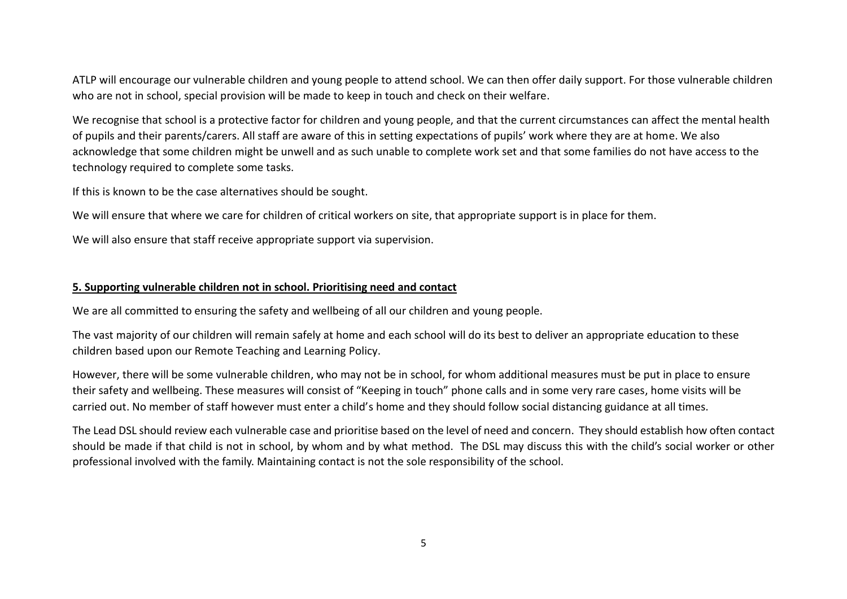ATLP will encourage our vulnerable children and young people to attend school. We can then offer daily support. For those vulnerable children who are not in school, special provision will be made to keep in touch and check on their welfare.

We recognise that school is a protective factor for children and young people, and that the current circumstances can affect the mental health of pupils and their parents/carers. All staff are aware of this in setting expectations of pupils' work where they are at home. We also acknowledge that some children might be unwell and as such unable to complete work set and that some families do not have access to the technology required to complete some tasks.

If this is known to be the case alternatives should be sought.

We will ensure that where we care for children of critical workers on site, that appropriate support is in place for them.

We will also ensure that staff receive appropriate support via supervision.

### **5. Supporting vulnerable children not in school. Prioritising need and contact**

We are all committed to ensuring the safety and wellbeing of all our children and young people.

The vast majority of our children will remain safely at home and each school will do its best to deliver an appropriate education to these children based upon our Remote Teaching and Learning Policy.

However, there will be some vulnerable children, who may not be in school, for whom additional measures must be put in place to ensure their safety and wellbeing. These measures will consist of "Keeping in touch" phone calls and in some very rare cases, home visits will be carried out. No member of staff however must enter a child's home and they should follow social distancing guidance at all times.

The Lead DSL should review each vulnerable case and prioritise based on the level of need and concern. They should establish how often contact should be made if that child is not in school, by whom and by what method. The DSL may discuss this with the child's social worker or other professional involved with the family. Maintaining contact is not the sole responsibility of the school.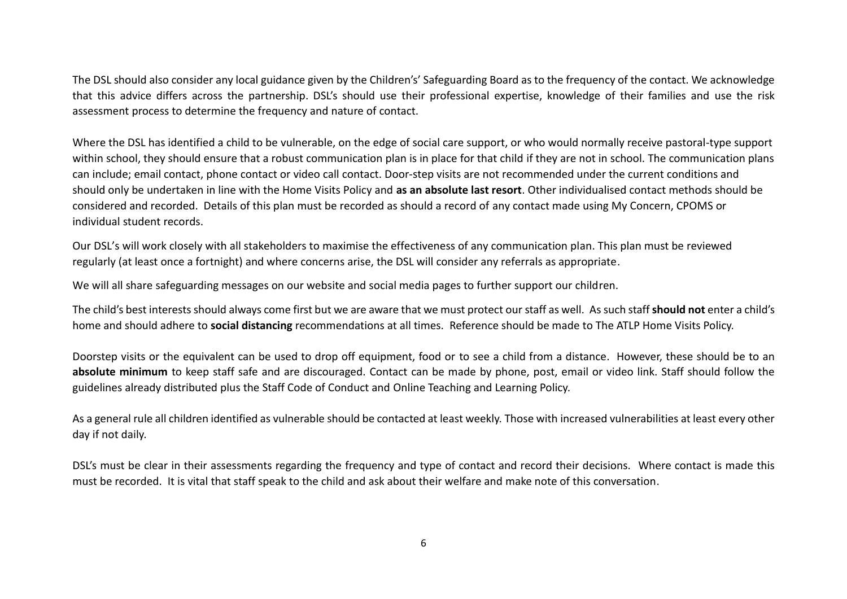The DSL should also consider any local guidance given by the Children's' Safeguarding Board as to the frequency of the contact. We acknowledge that this advice differs across the partnership. DSL's should use their professional expertise, knowledge of their families and use the risk assessment process to determine the frequency and nature of contact.

Where the DSL has identified a child to be vulnerable, on the edge of social care support, or who would normally receive pastoral-type support within school, they should ensure that a robust communication plan is in place for that child if they are not in school. The communication plans can include; email contact, phone contact or video call contact. Door-step visits are not recommended under the current conditions and should only be undertaken in line with the Home Visits Policy and **as an absolute last resort**. Other individualised contact methods should be considered and recorded. Details of this plan must be recorded as should a record of any contact made using My Concern, CPOMS or individual student records.

Our DSL's will work closely with all stakeholders to maximise the effectiveness of any communication plan. This plan must be reviewed regularly (at least once a fortnight) and where concerns arise, the DSL will consider any referrals as appropriate.

We will all share safeguarding messages on our website and social media pages to further support our children.

The child's best interests should always come first but we are aware that we must protect our staff as well. As such staff **should not** enter a child's home and should adhere to **social distancing** recommendations at all times. Reference should be made to The ATLP Home Visits Policy.

Doorstep visits or the equivalent can be used to drop off equipment, food or to see a child from a distance. However, these should be to an **absolute minimum** to keep staff safe and are discouraged. Contact can be made by phone, post, email or video link. Staff should follow the guidelines already distributed plus the Staff Code of Conduct and Online Teaching and Learning Policy.

As a general rule all children identified as vulnerable should be contacted at least weekly. Those with increased vulnerabilities at least every other day if not daily.

DSL's must be clear in their assessments regarding the frequency and type of contact and record their decisions. Where contact is made this must be recorded. It is vital that staff speak to the child and ask about their welfare and make note of this conversation.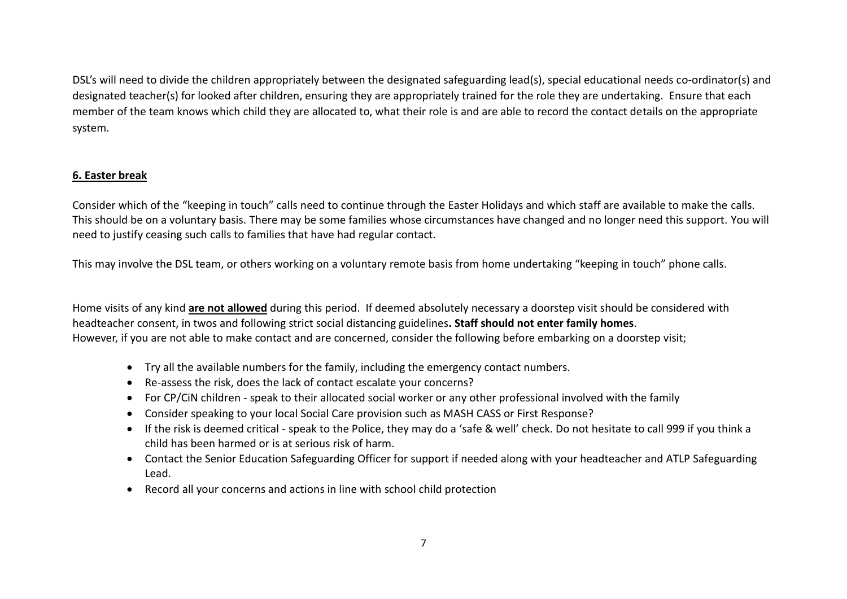DSL's will need to divide the children appropriately between the designated safeguarding lead(s), special educational needs co-ordinator(s) and designated teacher(s) for looked after children, ensuring they are appropriately trained for the role they are undertaking. Ensure that each member of the team knows which child they are allocated to, what their role is and are able to record the contact details on the appropriate system.

## **6. Easter break**

Consider which of the "keeping in touch" calls need to continue through the Easter Holidays and which staff are available to make the calls. This should be on a voluntary basis. There may be some families whose circumstances have changed and no longer need this support. You will need to justify ceasing such calls to families that have had regular contact.

This may involve the DSL team, or others working on a voluntary remote basis from home undertaking "keeping in touch" phone calls.

Home visits of any kind **are not allowed** during this period. If deemed absolutely necessary a doorstep visit should be considered with headteacher consent, in twos and following strict social distancing guidelines**. Staff should not enter family homes**. However, if you are not able to make contact and are concerned, consider the following before embarking on a doorstep visit;

- Try all the available numbers for the family, including the emergency contact numbers.
- Re-assess the risk, does the lack of contact escalate your concerns?
- For CP/CiN children speak to their allocated social worker or any other professional involved with the family
- Consider speaking to your local Social Care provision such as MASH CASS or First Response?
- If the risk is deemed critical speak to the Police, they may do a 'safe & well' check. Do not hesitate to call 999 if you think a child has been harmed or is at serious risk of harm.
- Contact the Senior Education Safeguarding Officer for support if needed along with your headteacher and ATLP Safeguarding Lead.
- Record all your concerns and actions in line with school child protection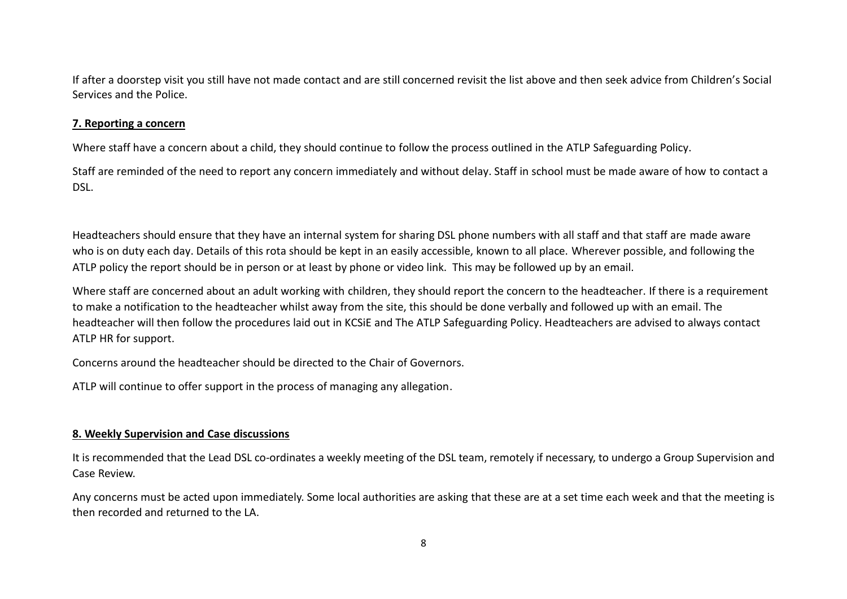If after a doorstep visit you still have not made contact and are still concerned revisit the list above and then seek advice from Children's Social Services and the Police.

#### **7. Reporting a concern**

Where staff have a concern about a child, they should continue to follow the process outlined in the ATLP Safeguarding Policy.

Staff are reminded of the need to report any concern immediately and without delay. Staff in school must be made aware of how to contact a DSL.

Headteachers should ensure that they have an internal system for sharing DSL phone numbers with all staff and that staff are made aware who is on duty each day. Details of this rota should be kept in an easily accessible, known to all place. Wherever possible, and following the ATLP policy the report should be in person or at least by phone or video link. This may be followed up by an email.

Where staff are concerned about an adult working with children, they should report the concern to the headteacher. If there is a requirement to make a notification to the headteacher whilst away from the site, this should be done verbally and followed up with an email. The headteacher will then follow the procedures laid out in KCSiE and The ATLP Safeguarding Policy. Headteachers are advised to always contact ATLP HR for support.

Concerns around the headteacher should be directed to the Chair of Governors.

ATLP will continue to offer support in the process of managing any allegation.

## **8. Weekly Supervision and Case discussions**

It is recommended that the Lead DSL co-ordinates a weekly meeting of the DSL team, remotely if necessary, to undergo a Group Supervision and Case Review.

Any concerns must be acted upon immediately. Some local authorities are asking that these are at a set time each week and that the meeting is then recorded and returned to the LA.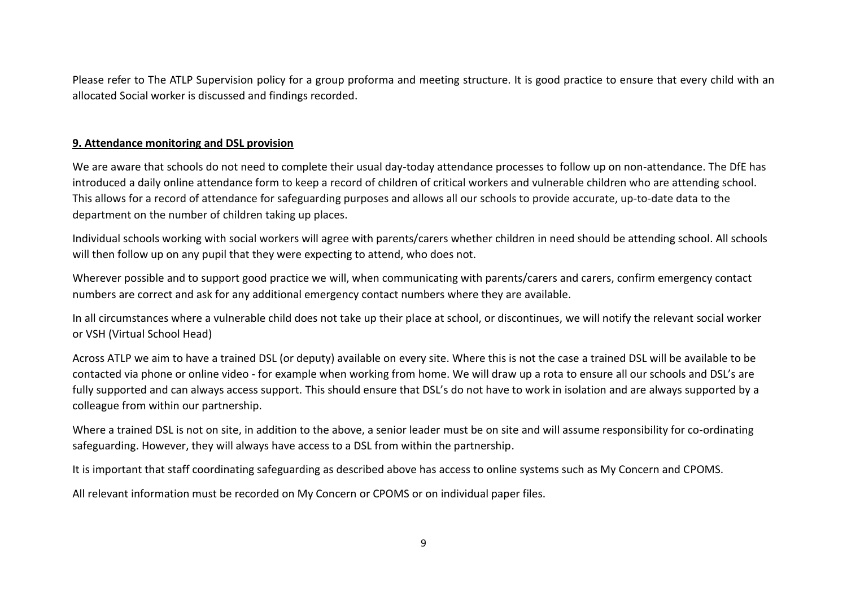Please refer to The ATLP Supervision policy for a group proforma and meeting structure. It is good practice to ensure that every child with an allocated Social worker is discussed and findings recorded.

### **9. Attendance monitoring and DSL provision**

We are aware that schools do not need to complete their usual day-today attendance processes to follow up on non-attendance. The DfE has introduced a daily online [attendance](https://www.gov.uk/government/publications/coronavirus-covid-19-attendance-recording-for-educational-settings) form to keep a record of children of critical workers and vulnerable children who are attending school. This allows for a record of attendance for safeguarding purposes and allows all our schools to provide accurate, up-to-date data to the department on the number of children taking up places.

Individual schools working with social workers will agree with parents/carers whether children in need should be attending school. All schools will then follow up on any pupil that they were expecting to attend, who does not.

Wherever possible and to support good practice we will, when communicating with parents/carers and carers, confirm emergency contact numbers are correct and ask for any additional emergency contact numbers where they are available.

In all circumstances where a vulnerable child does not take up their place at school, or discontinues, we will notify the relevant social worker or VSH (Virtual School Head)

Across ATLP we aim to have a trained DSL (or deputy) available on every site. Where this is not the case a trained DSL will be available to be contacted via phone or online video - for example when working from home. We will draw up a rota to ensure all our schools and DSL's are fully supported and can always access support. This should ensure that DSL's do not have to work in isolation and are always supported by a colleague from within our partnership.

Where a trained DSL is not on site, in addition to the above, a senior leader must be on site and will assume responsibility for co-ordinating safeguarding. However, they will always have access to a DSL from within the partnership.

It is important that staff coordinating safeguarding as described above has access to online systems such as My Concern and CPOMS.

All relevant information must be recorded on My Concern or CPOMS or on individual paper files.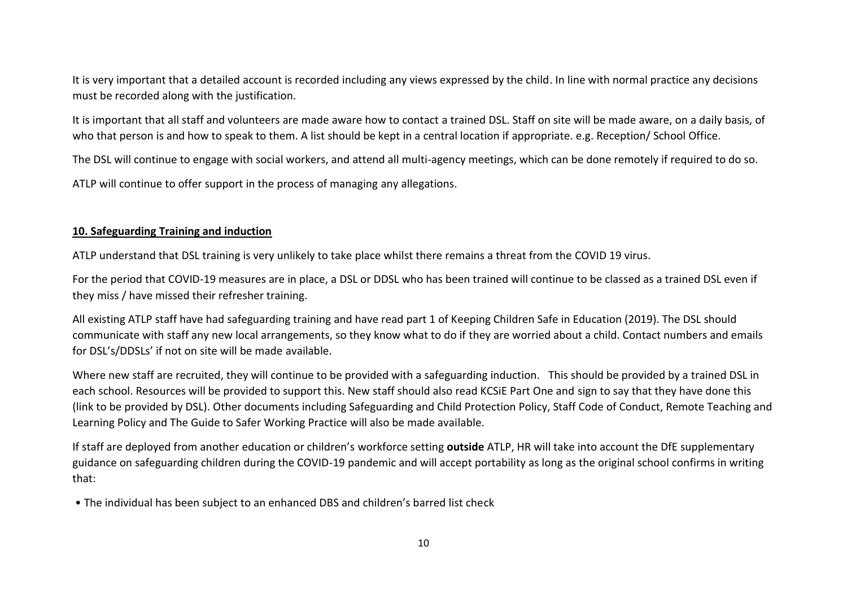It is very important that a detailed account is recorded including any views expressed by the child. In line with normal practice any decisions must be recorded along with the justification.

It is important that all staff and volunteers are made aware how to contact a trained DSL. Staff on site will be made aware, on a daily basis, of who that person is and how to speak to them. A list should be kept in a central location if appropriate. e.g. Reception/ School Office.

The DSL will continue to engage with social workers, and attend all multi-agency meetings, which can be done remotely if required to do so.

ATLP will continue to offer support in the process of managing any allegations.

## **10. Safeguarding Training and induction**

ATLP understand that DSL training is very unlikely to take place whilst there remains a threat from the COVID 19 virus.

For the period that COVID-19 measures are in place, a DSL or DDSL who has been trained will continue to be classed as a trained DSL even if they miss / have missed their refresher training.

All existing ATLP staff have had safeguarding training and have read part 1 of Keeping Children Safe in Education (2019). The DSL should communicate with staff any new local arrangements, so they know what to do if they are worried about a child. Contact numbers and emails for DSL's/DDSLs' if not on site will be made available.

Where new staff are recruited, they will continue to be provided with a safeguarding induction. This should be provided by a trained DSL in each school. Resources will be provided to support this. New staff should also read KCSiE Part One and sign to say that they have done this (link to be provided by DSL). Other documents including Safeguarding and Child Protection Policy, Staff Code of Conduct, Remote Teaching and Learning Policy and The Guide to Safer Working Practice will also be made available.

If staff are deployed from another education or children's workforce setting **outside** ATLP, HR will take into account the DfE supplementary guidance on safeguarding children during the COVID-19 pandemic and will accept portability as long as the original school confirms in writing that:

• The individual has been subject to an enhanced DBS and children's barred list check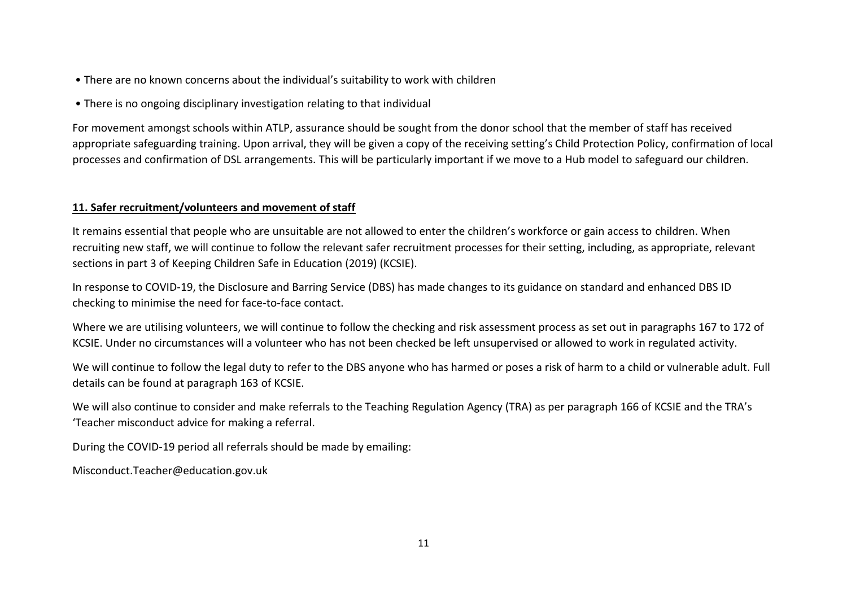- There are no known concerns about the individual's suitability to work with children
- There is no ongoing disciplinary investigation relating to that individual

For movement amongst schools within ATLP, assurance should be sought from the donor school that the member of staff has received appropriate safeguarding training. Upon arrival, they will be given a copy of the receiving setting's Child Protection Policy, confirmation of local processes and confirmation of DSL arrangements. This will be particularly important if we move to a Hub model to safeguard our children.

# **11. Safer recruitment/volunteers and movement of staff**

It remains essential that people who are unsuitable are not allowed to enter the children's workforce or gain access to children. When recruiting new staff, we will continue to follow the relevant safer recruitment processes for their setting, including, as appropriate, relevant sections in part 3 of Keeping Children Safe in Education (2019) (KCSIE).

In response to COVID-19, the Disclosure and Barring Service (DBS) has made changes to its guidance on standard and enhanced DBS ID checking to minimise the need for face-to-face contact.

Where we are utilising volunteers, we will continue to follow the checking and risk assessment process as set out in paragraphs 167 to 172 of KCSIE. Under no circumstances will a volunteer who has not been checked be left unsupervised or allowed to work in regulated activity.

We will continue to follow the legal duty to refer to the DBS anyone who has harmed or poses a risk of harm to a child or vulnerable adult. Full details can be found at paragraph 163 of KCSIE.

We will also continue to consider and make referrals to the Teaching Regulation Agency (TRA) as per paragraph 166 of KCSIE and the TRA's 'Teacher misconduct advice for making a referral.

During the COVID-19 period all referrals should be made by emailing:

Misconduct.Teacher@education.gov.uk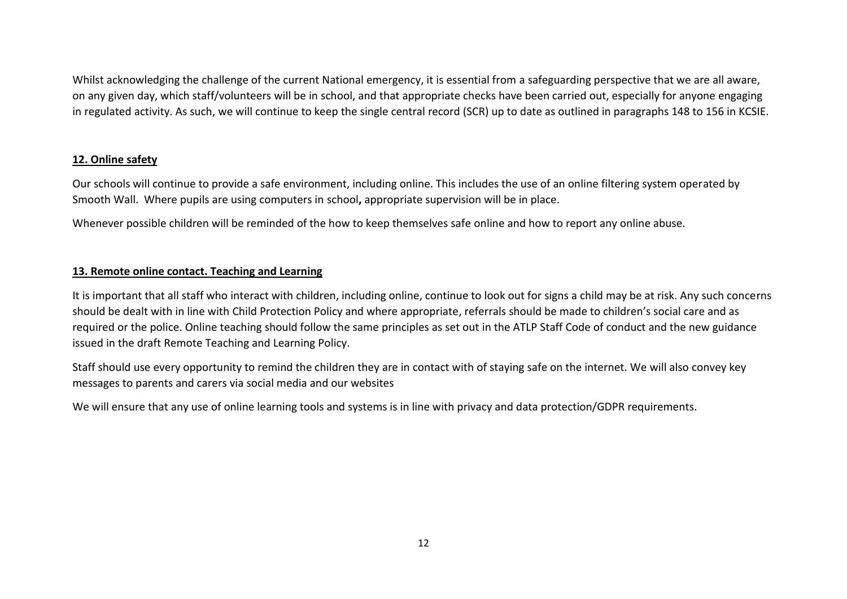Whilst acknowledging the challenge of the current National emergency, it is essential from a safeguarding perspective that we are all aware, on any given day, which staff/volunteers will be in school, and that appropriate checks have been carried out, especially for anyone engaging in regulated activity. As such, we will continue to keep the single central record (SCR) up to date as outlined in paragraphs 148 to 156 in KCSIE.

## **12. Online safety**

Our schools will continue to provide a safe environment, including online. This includes the use of an online filtering system operated by Smooth Wall. Where pupils are using computers in school**,** appropriate supervision will be in place.

Whenever possible children will be reminded of the how to keep themselves safe online and how to report any online abuse.

# **13. Remote online contact. Teaching and Learning**

It is important that all staff who interact with children, including online, continue to look out for signs a child may be at risk. Any such concerns should be dealt with in line with Child Protection Policy and where appropriate, referrals should be made to children's social care and as required or the police. Online teaching should follow the same principles as set out in the ATLP Staff Code of conduct and the new guidance issued in the draft Remote Teaching and Learning Policy.

Staff should use every opportunity to remind the children they are in contact with of staying safe on the internet. We will also convey key messages to parents and carers via social media and our websites

We will ensure that any use of online learning tools and systems is in line with privacy and data protection/GDPR requirements.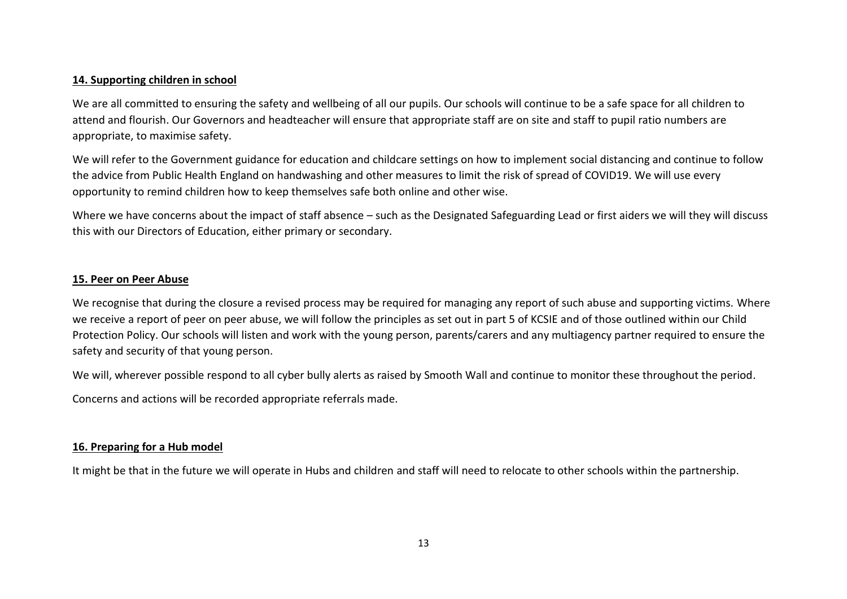#### **14. Supporting children in school**

We are all committed to ensuring the safety and wellbeing of all our pupils. Our schools will continue to be a safe space for all children to attend and flourish. Our Governors and headteacher will ensure that appropriate staff are on site and staff to pupil ratio numbers are appropriate, to maximise safety.

We will refer to the Government guidance for education and childcare settings on how to implement social distancing and continue to follow the advice from Public Health England on handwashing and other measures to limit the risk of spread of COVID19. We will use every opportunity to remind children how to keep themselves safe both online and other wise.

Where we have concerns about the impact of staff absence – such as the Designated Safeguarding Lead or first aiders we will they will discuss this with our Directors of Education, either primary or secondary.

#### **15. Peer on Peer Abuse**

We recognise that during the closure a revised process may be required for managing any report of such abuse and supporting victims. Where we receive a report of peer on peer abuse, we will follow the principles as set out in part 5 of KCSIE and of those outlined within our Child Protection Policy. Our schools will listen and work with the young person, parents/carers and any multiagency partner required to ensure the safety and security of that young person.

We will, wherever possible respond to all cyber bully alerts as raised by Smooth Wall and continue to monitor these throughout the period.

Concerns and actions will be recorded appropriate referrals made.

### **16. Preparing for a Hub model**

It might be that in the future we will operate in Hubs and children and staff will need to relocate to other schools within the partnership.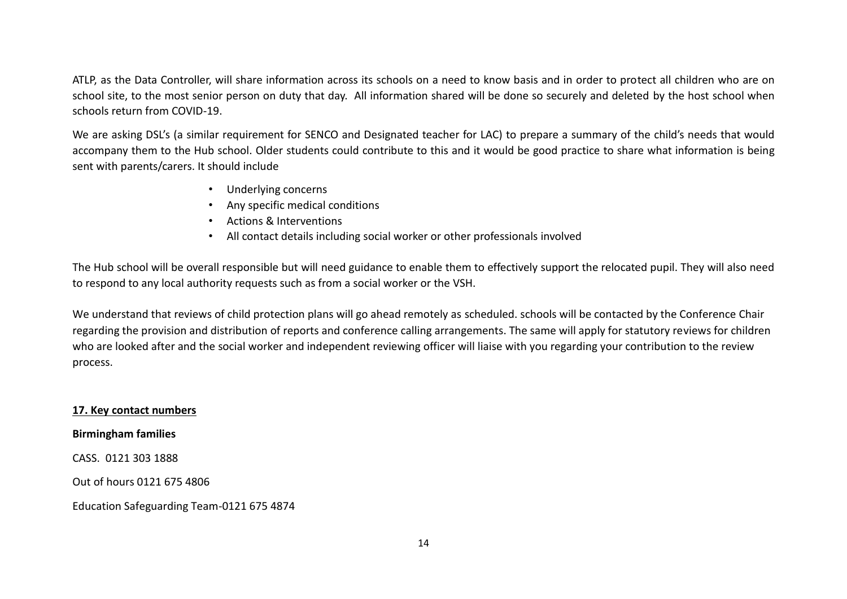ATLP, as the Data Controller, will share information across its schools on a need to know basis and in order to protect all children who are on school site, to the most senior person on duty that day. All information shared will be done so securely and deleted by the host school when schools return from COVID-19.

We are asking DSL's (a similar requirement for SENCO and Designated teacher for LAC) to prepare a summary of the child's needs that would accompany them to the Hub school. Older students could contribute to this and it would be good practice to share what information is being sent with parents/carers. It should include

- Underlying concerns
- Any specific medical conditions
- Actions & Interventions
- All contact details including social worker or other professionals involved

The Hub school will be overall responsible but will need guidance to enable them to effectively support the relocated pupil. They will also need to respond to any local authority requests such as from a social worker or the VSH.

We understand that reviews of child protection plans will go ahead remotely as scheduled. schools will be contacted by the Conference Chair regarding the provision and distribution of reports and conference calling arrangements. The same will apply for statutory reviews for children who are looked after and the social worker and independent reviewing officer will liaise with you regarding your contribution to the review process.

**17. Key contact numbers**

**Birmingham families**

CASS. 0121 303 1888

Out of hours 0121 675 4806

Education Safeguarding Team-0121 675 4874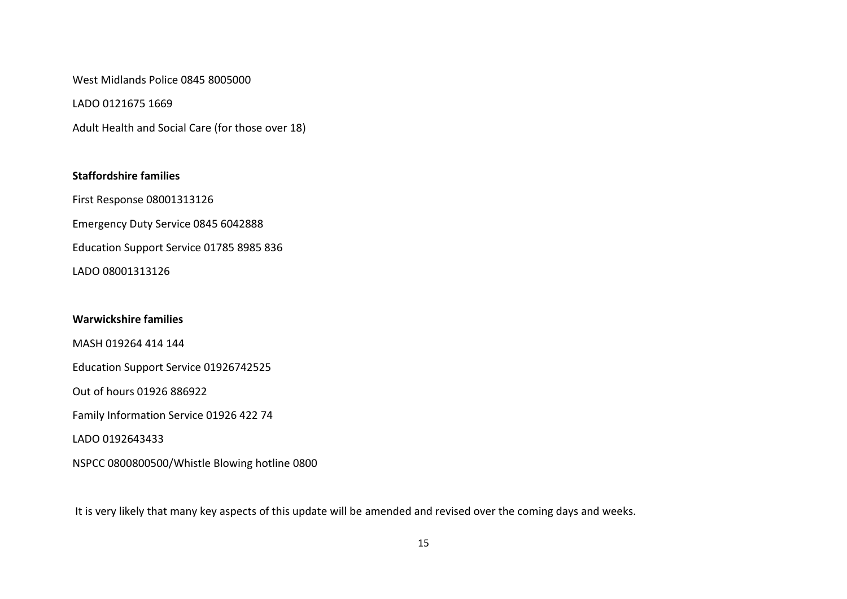West Midlands Police 0845 8005000

LADO 0121675 1669

Adult Health and Social Care (for those over 18)

# **Staffordshire families**

First Response 08001313126

Emergency Duty Service 0845 6042888

Education Support Service 01785 8985 836

LADO 08001313126

### **Warwickshire families**

MASH 019264 414 144

Education Support Service 01926742525

Out of hours 01926 886922

Family Information Service 01926 422 74

LADO 0192643433

NSPCC 0800800500/Whistle Blowing hotline 0800

It is very likely that many key aspects of this update will be amended and revised over the coming days and weeks.